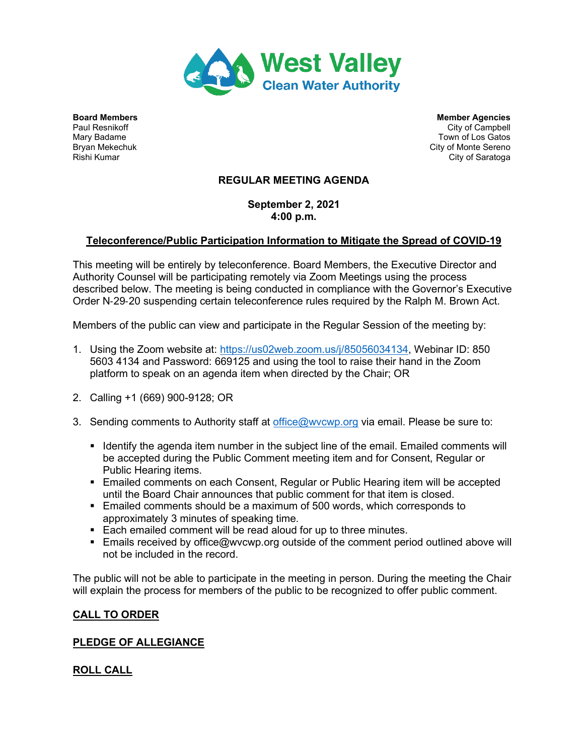

**Board Members Members Agencies** Member Agencies **Member Agencies** Paul Resnikoff City of Campbell Mary Badame Town of Los Gatos Bryan Mekechuk City of Monte Sereno (Bryan Mekechuk City of Monte Sereno (City of Monte Sereno (City of Saratoqa<br>Rishi Kumar City of Saratoga

# **REGULAR MEETING AGENDA**

**September 2, 2021 4:00 p.m.**

# **Teleconference/Public Participation Information to Mitigate the Spread of COVID**‐**19**

This meeting will be entirely by teleconference. Board Members, the Executive Director and Authority Counsel will be participating remotely via Zoom Meetings using the process described below. The meeting is being conducted in compliance with the Governor's Executive Order N‐29‐20 suspending certain teleconference rules required by the Ralph M. Brown Act.

Members of the public can view and participate in the Regular Session of the meeting by:

- 1. Using the Zoom website at: [https://us02web.zoom.us/j/85056034134,](https://us02web.zoom.us/j/85056034134?pwd=RVhkN2Iya3hQY2VQaHhKelZWSTRtdz09) Webinar ID: 850 5603 4134 and Password: 669125 and using the tool to raise their hand in the Zoom platform to speak on an agenda item when directed by the Chair; OR
- 2. Calling +1 (669) 900-9128; OR
- 3. Sending comments to Authority staff at [office@wvcwp.org](mailto:office@wvcwp.org) via email. Please be sure to:
	- If Identify the agenda item number in the subject line of the email. Emailed comments will be accepted during the Public Comment meeting item and for Consent, Regular or Public Hearing items.
	- Emailed comments on each Consent, Regular or Public Hearing item will be accepted until the Board Chair announces that public comment for that item is closed.
	- Emailed comments should be a maximum of 500 words, which corresponds to approximately 3 minutes of speaking time.
	- Each emailed comment will be read aloud for up to three minutes.
	- **Emails received by office@wvcwp.org outside of the comment period outlined above will** not be included in the record.

The public will not be able to participate in the meeting in person. During the meeting the Chair will explain the process for members of the public to be recognized to offer public comment.

# **CALL TO ORDER**

# **PLEDGE OF ALLEGIANCE**

# **ROLL CALL**